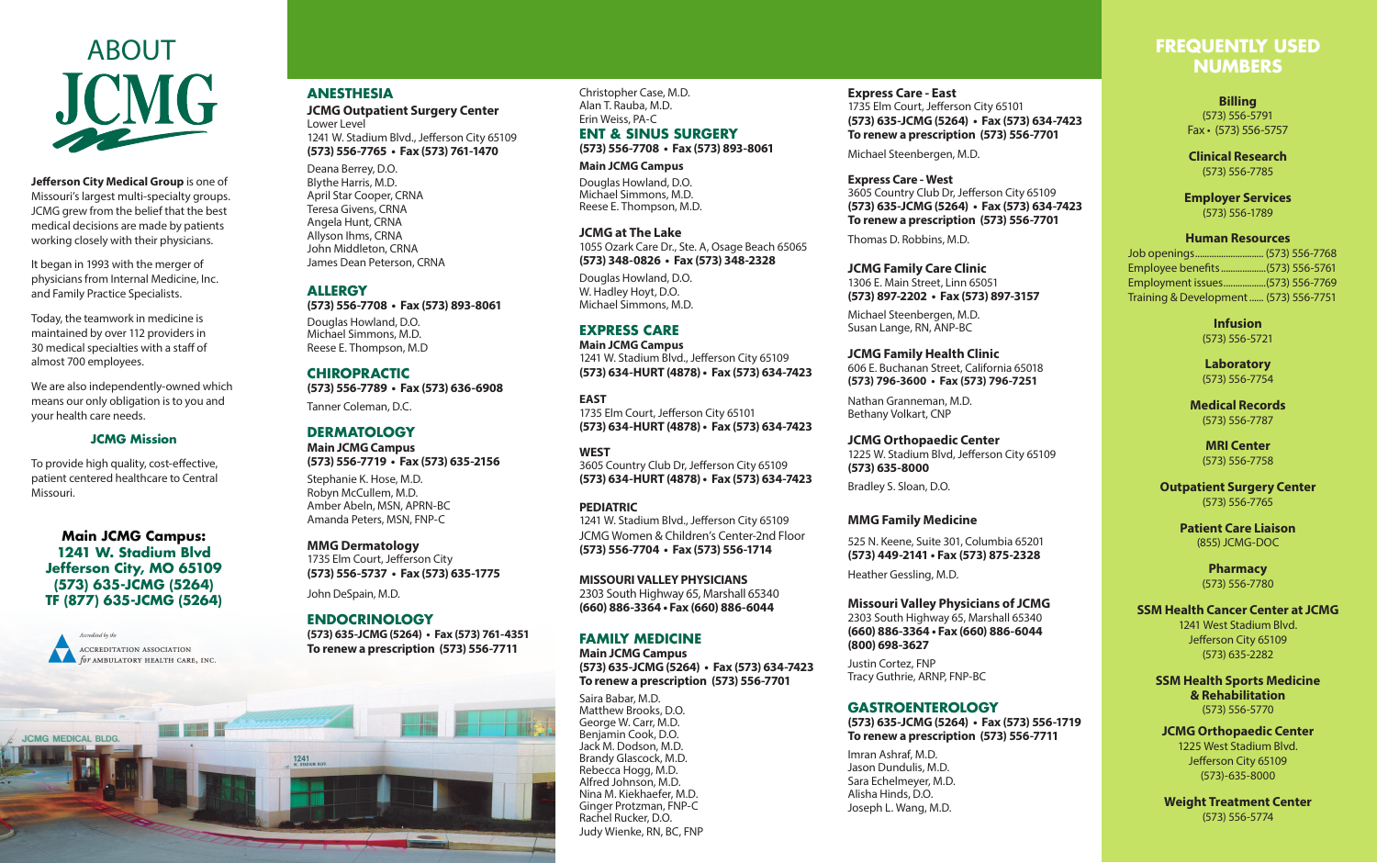

**Jefferson City Medical Group** is one of Missouri's largest multi-specialty groups. JCMG grew from the belief that the best medical decisions are made by patients working closely with their physicians.

It began in 1993 with the merger of physicians from Internal Medicine, Inc. and Family Practice Specialists.

Today, the teamwork in medicine is maintained by over 112 providers in 30 medical specialties with a staff of almost 700 employees.

We are also independently-owned which means our only obligation is to you and your health care needs.

# **JCMG Mission**

To provide high quality, cost-effective, patient centered healthcare to Central Missouri.

**Main JCMG Campus: 1241 W. Stadium Blvd Jefferson City, MO 65109 (573) 635-JCMG (5264) TF (877) 635-JCMG (5264)**



**JCMG MEDICAL BLDG.** 

**THE REAL** 

# **ANESTHESIA**

**JCMG Outpatient Surgery Center** Lower Level 1241 W. Stadium Blvd., Jefferson City 65109 **(573) 556-7765 • Fax (573) 761-1470** 

Deana Berrey, D.O. Blythe Harris, M.D. April Star Cooper, CRNA Teresa Givens, CRNA Angela Hunt, CRNA Allyson Ihms, CRNA John Middleton, CRNA James Dean Peterson, CRNA

## **ALLERGY**

**(573) 556-7708 • Fax (573) 893-8061**

Douglas Howland, D.O. Michael Simmons, M.D. Reese E. Thompson, M.D

# **CHIROPRACTIC**

**(573) 556-7789 • Fax (573) 636-6908**

Tanner Coleman, D.C.

## **DERMATOLOGY**

**Main JCMG Campus (573) 556-7719 • Fax (573) 635-2156**

Stephanie K. Hose, M.D. Robyn McCullem, M.D. Amber Abeln, MSN, APRN-BC Amanda Peters, MSN, FNP-C

#### **MMG Dermatology**

1735 Elm Court, Jefferson City **(573) 556-5737 • Fax (573) 635-1775**

John DeSpain, M.D.

 $1241$ <br>W. STADIUM BLVD

## **ENDOCRINOLOGY**

**(573) 635-JCMG (5264) • Fax (573) 761-4351 To renew a prescription (573) 556-7711**

Christopher Case, M.D. Alan T. Rauba, M.D. Erin Weiss, PA-C

**ENT & SINUS SURGERY (573) 556-7708 • Fax (573) 893-8061**

**Main JCMG Campus**

Douglas Howland, D.O. Michael Simmons, M.D. Reese E. Thompson, M.D.

**JCMG at The Lake** 1055 Ozark Care Dr., Ste. A, Osage Beach 65065 **(573) 348-0826 • Fax (573) 348-2328**

Douglas Howland, D.O. W. Hadley Hoyt, D.O. Michael Simmons, M.D.

# **EXPRESS CARE**

**Main JCMG Campus** 1241 W. Stadium Blvd., Jefferson City 65109 **(573) 634-HURT (4878) • Fax (573) 634-7423**

**EAST** 1735 Elm Court, Jefferson City 65101 **(573) 634-HURT (4878) • Fax (573) 634-7423**

**WEST** 3605 Country Club Dr, Jefferson City 65109 **(573) 634-HURT (4878) • Fax (573) 634-7423**

## **PEDIATRIC** 1241 W. Stadium Blvd., Jefferson City 65109

JCMG Women & Children's Center-2nd Floor **(573) 556-7704 • Fax (573) 556-1714**

**MISSOURI VALLEY PHYSICIANS** 2303 South Highway 65, Marshall 65340 **(660) 886-3364 • Fax (660) 886-6044**

## **FAMILY MEDICINE**

**Main JCMG Campus (573) 635-JCMG (5264) • Fax (573) 634-7423 To renew a prescription (573) 556-7701**

Saira Babar, M.D. Matthew Brooks, D.O. George W. Carr, M.D. Benjamin Cook, D.O. Jack M. Dodson, M.D. Brandy Glascock, M.D. Rebecca Hogg, M.D. Alfred Johnson, M.D. Nina M. Kiekhaefer, M.D. Ginger Protzman, FNP-C Rachel Rucker, D.O. Judy Wienke, RN, BC, FNP

**Express Care - East** 1735 Elm Court, Jefferson City 65101 **(573) 635-JCMG (5264) • Fax (573) 634-7423 To renew a prescription (573) 556-7701**

Michael Steenbergen, M.D.

**Express Care - West**  3605 Country Club Dr, Jefferson City 65109 **(573) 635-JCMG (5264) • Fax (573) 634-7423 To renew a prescription (573) 556-7701**

Thomas D. Robbins, M.D.

**JCMG Family Care Clinic** 1306 E. Main Street, Linn 65051 **(573) 897-2202 • Fax (573) 897-3157**

Michael Steenbergen, M.D. Susan Lange, RN, ANP-BC

**JCMG Family Health Clinic** 606 E. Buchanan Street, California 65018 **(573) 796-3600 • Fax (573) 796-7251**

Nathan Granneman, M.D. Bethany Volkart, CNP

**JCMG Orthopaedic Center** 1225 W. Stadium Blvd, Jefferson City 65109 **(573) 635-8000**

Bradley S. Sloan, D.O.

## **MMG Family Medicine**

525 N. Keene, Suite 301, Columbia 65201 **(573) 449-2141 • Fax (573) 875-2328**

Heather Gessling, M.D.

**Missouri Valley Physicians of JCMG** 2303 South Highway 65, Marshall 65340 **(660) 886-3364 • Fax (660) 886-6044 (800) 698-3627**

Justin Cortez, FNP Tracy Guthrie, ARNP, FNP-BC

#### **GASTROENTEROLOGY**

**(573) 635-JCMG (5264) • Fax (573) 556-1719 To renew a prescription (573) 556-7711**

Imran Ashraf, M.D. Jason Dundulis, M.D. Sara Echelmeyer, M.D. Alisha Hinds, D.O. Joseph L. Wang, M.D.

# **FREQUENTLY USED NUMBERS**

**Billing** (573) 556-5791 Fax • (573) 556-5757

**Clinical Research** (573) 556-7785

**Employer Services** (573) 556-1789

## **Human Resources**

Job openings............................. (573) 556-7768 Employee benefits...................(573) 556-5761 Employment issues..................(573) 556-7769 Training & Development...... (573) 556-7751

> **Infusion** (573) 556-5721

**Laboratory** (573) 556-7754

**Medical Records** (573) 556-7787

> **MRI Center** (573) 556-7758

**Outpatient Surgery Center** (573) 556-7765

> **Patient Care Liaison** (855) JCMG-DOC

> > **Pharmacy** (573) 556-7780

## **SSM Health Cancer Center at JCMG** 1241 West Stadium Blvd. Jefferson City 65109

**SSM Health Sports Medicine & Rehabilitation**  (573) 556-5770

(573) 635-2282

**JCMG Orthopaedic Center** 1225 West Stadium Blvd. Jefferson City 65109 (573)-635-8000

**Weight Treatment Center** (573) 556-5774